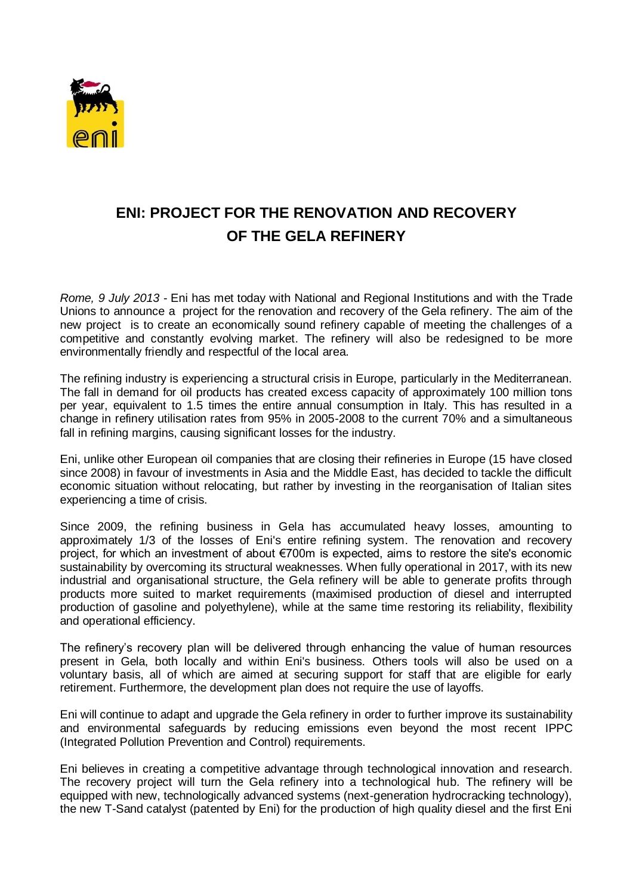

## **ENI: PROJECT FOR THE RENOVATION AND RECOVERY OF THE GELA REFINERY**

*Rome, 9 July 2013* - Eni has met today with National and Regional Institutions and with the Trade Unions to announce a project for the renovation and recovery of the Gela refinery. The aim of the new project is to create an economically sound refinery capable of meeting the challenges of a competitive and constantly evolving market. The refinery will also be redesigned to be more environmentally friendly and respectful of the local area.

The refining industry is experiencing a structural crisis in Europe, particularly in the Mediterranean. The fall in demand for oil products has created excess capacity of approximately 100 million tons per year, equivalent to 1.5 times the entire annual consumption in Italy. This has resulted in a change in refinery utilisation rates from 95% in 2005-2008 to the current 70% and a simultaneous fall in refining margins, causing significant losses for the industry.

Eni, unlike other European oil companies that are closing their refineries in Europe (15 have closed since 2008) in favour of investments in Asia and the Middle East, has decided to tackle the difficult economic situation without relocating, but rather by investing in the reorganisation of Italian sites experiencing a time of crisis.

Since 2009, the refining business in Gela has accumulated heavy losses, amounting to approximately 1/3 of the losses of Eni's entire refining system. The renovation and recovery project, for which an investment of about €700m is expected, aims to restore the site's economic sustainability by overcoming its structural weaknesses. When fully operational in 2017, with its new industrial and organisational structure, the Gela refinery will be able to generate profits through products more suited to market requirements (maximised production of diesel and interrupted production of gasoline and polyethylene), while at the same time restoring its reliability, flexibility and operational efficiency.

The refinery's recovery plan will be delivered through enhancing the value of human resources present in Gela, both locally and within Eni's business. Others tools will also be used on a voluntary basis, all of which are aimed at securing support for staff that are eligible for early retirement. Furthermore, the development plan does not require the use of layoffs.

Eni will continue to adapt and upgrade the Gela refinery in order to further improve its sustainability and environmental safeguards by reducing emissions even beyond the most recent IPPC (Integrated Pollution Prevention and Control) requirements.

Eni believes in creating a competitive advantage through technological innovation and research. The recovery project will turn the Gela refinery into a technological hub. The refinery will be equipped with new, technologically advanced systems (next-generation hydrocracking technology), the new T-Sand catalyst (patented by Eni) for the production of high quality diesel and the first Eni